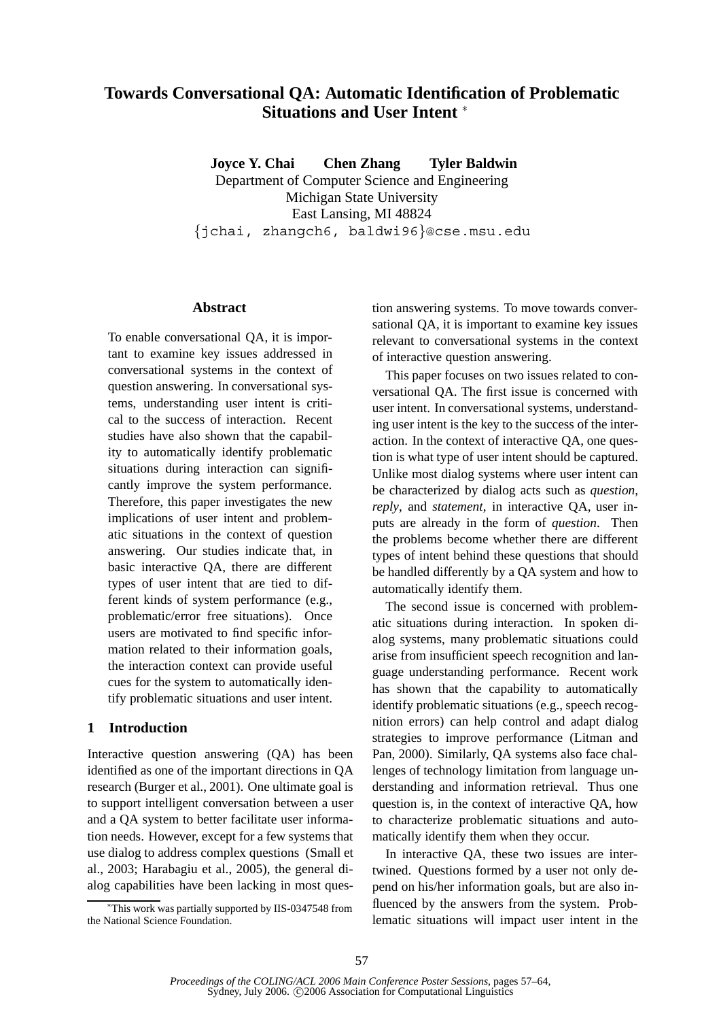# **Towards Conversational QA: Automatic Identification of Problematic Situations and User Intent** <sup>∗</sup>

**Joyce Y. Chai Chen Zhang Tyler Baldwin** Department of Computer Science and Engineering Michigan State University East Lansing, MI 48824 {jchai, zhangch6, baldwi96}@cse.msu.edu

#### **Abstract**

To enable conversational QA, it is important to examine key issues addressed in conversational systems in the context of question answering. In conversational systems, understanding user intent is critical to the success of interaction. Recent studies have also shown that the capability to automatically identify problematic situations during interaction can significantly improve the system performance. Therefore, this paper investigates the new implications of user intent and problematic situations in the context of question answering. Our studies indicate that, in basic interactive QA, there are different types of user intent that are tied to different kinds of system performance (e.g., problematic/error free situations). Once users are motivated to find specific information related to their information goals, the interaction context can provide useful cues for the system to automatically identify problematic situations and user intent.

#### **1 Introduction**

Interactive question answering (QA) has been identified as one of the important directions in QA research (Burger et al., 2001). One ultimate goal is to support intelligent conversation between a user and a QA system to better facilitate user information needs. However, except for a few systems that use dialog to address complex questions (Small et al., 2003; Harabagiu et al., 2005), the general dialog capabilities have been lacking in most ques-

<sup>∗</sup>This work was partially supported by IIS-0347548 from the National Science Foundation.

tion answering systems. To move towards conversational QA, it is important to examine key issues relevant to conversational systems in the context of interactive question answering.

This paper focuses on two issues related to conversational QA. The first issue is concerned with user intent. In conversational systems, understanding user intent is the key to the success of the interaction. In the context of interactive QA, one question is what type of user intent should be captured. Unlike most dialog systems where user intent can be characterized by dialog acts such as *question*, *reply*, and *statement*, in interactive QA, user inputs are already in the form of *question*. Then the problems become whether there are different types of intent behind these questions that should be handled differently by a QA system and how to automatically identify them.

The second issue is concerned with problematic situations during interaction. In spoken dialog systems, many problematic situations could arise from insufficient speech recognition and language understanding performance. Recent work has shown that the capability to automatically identify problematic situations (e.g., speech recognition errors) can help control and adapt dialog strategies to improve performance (Litman and Pan, 2000). Similarly, QA systems also face challenges of technology limitation from language understanding and information retrieval. Thus one question is, in the context of interactive QA, how to characterize problematic situations and automatically identify them when they occur.

In interactive QA, these two issues are intertwined. Questions formed by a user not only depend on his/her information goals, but are also influenced by the answers from the system. Problematic situations will impact user intent in the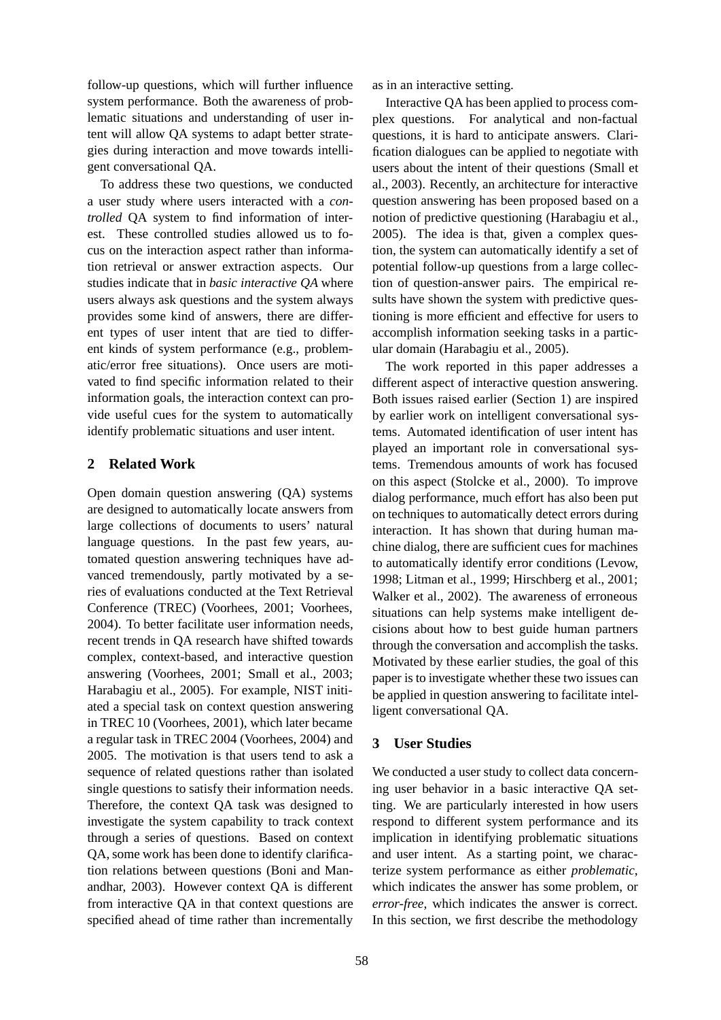follow-up questions, which will further influence system performance. Both the awareness of problematic situations and understanding of user intent will allow QA systems to adapt better strategies during interaction and move towards intelligent conversational QA.

To address these two questions, we conducted a user study where users interacted with a *controlled* QA system to find information of interest. These controlled studies allowed us to focus on the interaction aspect rather than information retrieval or answer extraction aspects. Our studies indicate that in *basic interactive QA* where users always ask questions and the system always provides some kind of answers, there are different types of user intent that are tied to different kinds of system performance (e.g., problematic/error free situations). Once users are motivated to find specific information related to their information goals, the interaction context can provide useful cues for the system to automatically identify problematic situations and user intent.

### **2 Related Work**

Open domain question answering (QA) systems are designed to automatically locate answers from large collections of documents to users' natural language questions. In the past few years, automated question answering techniques have advanced tremendously, partly motivated by a series of evaluations conducted at the Text Retrieval Conference (TREC) (Voorhees, 2001; Voorhees, 2004). To better facilitate user information needs, recent trends in QA research have shifted towards complex, context-based, and interactive question answering (Voorhees, 2001; Small et al., 2003; Harabagiu et al., 2005). For example, NIST initiated a special task on context question answering in TREC 10 (Voorhees, 2001), which later became a regular task in TREC 2004 (Voorhees, 2004) and 2005. The motivation is that users tend to ask a sequence of related questions rather than isolated single questions to satisfy their information needs. Therefore, the context QA task was designed to investigate the system capability to track context through a series of questions. Based on context QA, some work has been done to identify clarification relations between questions (Boni and Manandhar, 2003). However context QA is different from interactive QA in that context questions are specified ahead of time rather than incrementally

as in an interactive setting.

Interactive QA has been applied to process complex questions. For analytical and non-factual questions, it is hard to anticipate answers. Clarification dialogues can be applied to negotiate with users about the intent of their questions (Small et al., 2003). Recently, an architecture for interactive question answering has been proposed based on a notion of predictive questioning (Harabagiu et al., 2005). The idea is that, given a complex question, the system can automatically identify a set of potential follow-up questions from a large collection of question-answer pairs. The empirical results have shown the system with predictive questioning is more efficient and effective for users to accomplish information seeking tasks in a particular domain (Harabagiu et al., 2005).

The work reported in this paper addresses a different aspect of interactive question answering. Both issues raised earlier (Section 1) are inspired by earlier work on intelligent conversational systems. Automated identification of user intent has played an important role in conversational systems. Tremendous amounts of work has focused on this aspect (Stolcke et al., 2000). To improve dialog performance, much effort has also been put on techniques to automatically detect errors during interaction. It has shown that during human machine dialog, there are sufficient cues for machines to automatically identify error conditions (Levow, 1998; Litman et al., 1999; Hirschberg et al., 2001; Walker et al., 2002). The awareness of erroneous situations can help systems make intelligent decisions about how to best guide human partners through the conversation and accomplish the tasks. Motivated by these earlier studies, the goal of this paper is to investigate whether these two issues can be applied in question answering to facilitate intelligent conversational QA.

### **3 User Studies**

We conducted a user study to collect data concerning user behavior in a basic interactive QA setting. We are particularly interested in how users respond to different system performance and its implication in identifying problematic situations and user intent. As a starting point, we characterize system performance as either *problematic*, which indicates the answer has some problem, or *error-free*, which indicates the answer is correct. In this section, we first describe the methodology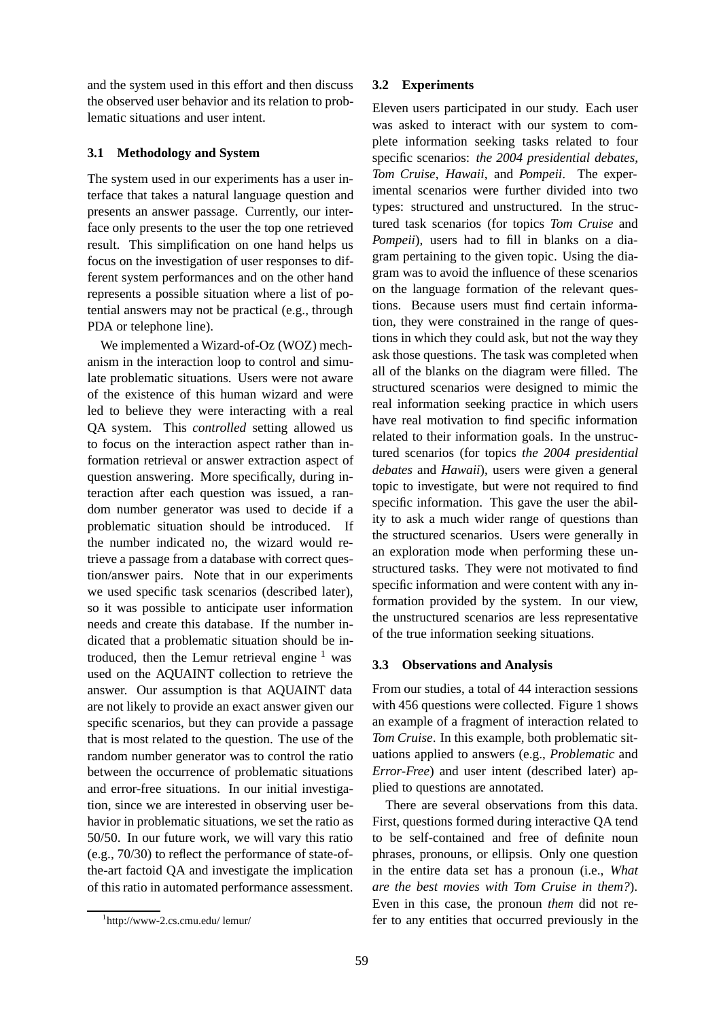and the system used in this effort and then discuss the observed user behavior and its relation to problematic situations and user intent.

### **3.1 Methodology and System**

The system used in our experiments has a user interface that takes a natural language question and presents an answer passage. Currently, our interface only presents to the user the top one retrieved result. This simplification on one hand helps us focus on the investigation of user responses to different system performances and on the other hand represents a possible situation where a list of potential answers may not be practical (e.g., through PDA or telephone line).

We implemented a Wizard-of-Oz (WOZ) mechanism in the interaction loop to control and simulate problematic situations. Users were not aware of the existence of this human wizard and were led to believe they were interacting with a real QA system. This *controlled* setting allowed us to focus on the interaction aspect rather than information retrieval or answer extraction aspect of question answering. More specifically, during interaction after each question was issued, a random number generator was used to decide if a problematic situation should be introduced. If the number indicated no, the wizard would retrieve a passage from a database with correct question/answer pairs. Note that in our experiments we used specific task scenarios (described later), so it was possible to anticipate user information needs and create this database. If the number indicated that a problematic situation should be introduced, then the Lemur retrieval engine  $<sup>1</sup>$  was</sup> used on the AQUAINT collection to retrieve the answer. Our assumption is that AQUAINT data are not likely to provide an exact answer given our specific scenarios, but they can provide a passage that is most related to the question. The use of the random number generator was to control the ratio between the occurrence of problematic situations and error-free situations. In our initial investigation, since we are interested in observing user behavior in problematic situations, we set the ratio as 50/50. In our future work, we will vary this ratio (e.g., 70/30) to reflect the performance of state-ofthe-art factoid QA and investigate the implication of this ratio in automated performance assessment.

#### **3.2 Experiments**

Eleven users participated in our study. Each user was asked to interact with our system to complete information seeking tasks related to four specific scenarios: *the 2004 presidential debates*, *Tom Cruise*, *Hawaii*, and *Pompeii*. The experimental scenarios were further divided into two types: structured and unstructured. In the structured task scenarios (for topics *Tom Cruise* and *Pompeii*), users had to fill in blanks on a diagram pertaining to the given topic. Using the diagram was to avoid the influence of these scenarios on the language formation of the relevant questions. Because users must find certain information, they were constrained in the range of questions in which they could ask, but not the way they ask those questions. The task was completed when all of the blanks on the diagram were filled. The structured scenarios were designed to mimic the real information seeking practice in which users have real motivation to find specific information related to their information goals. In the unstructured scenarios (for topics *the 2004 presidential debates* and *Hawaii*), users were given a general topic to investigate, but were not required to find specific information. This gave the user the ability to ask a much wider range of questions than the structured scenarios. Users were generally in an exploration mode when performing these unstructured tasks. They were not motivated to find specific information and were content with any information provided by the system. In our view, the unstructured scenarios are less representative of the true information seeking situations.

#### **3.3 Observations and Analysis**

From our studies, a total of 44 interaction sessions with 456 questions were collected. Figure 1 shows an example of a fragment of interaction related to *Tom Cruise*. In this example, both problematic situations applied to answers (e.g., *Problematic* and *Error-Free*) and user intent (described later) applied to questions are annotated.

There are several observations from this data. First, questions formed during interactive QA tend to be self-contained and free of definite noun phrases, pronouns, or ellipsis. Only one question in the entire data set has a pronoun (i.e., *What are the best movies with Tom Cruise in them?*). Even in this case, the pronoun *them* did not refer to any entities that occurred previously in the

<sup>1</sup> http://www-2.cs.cmu.edu/ lemur/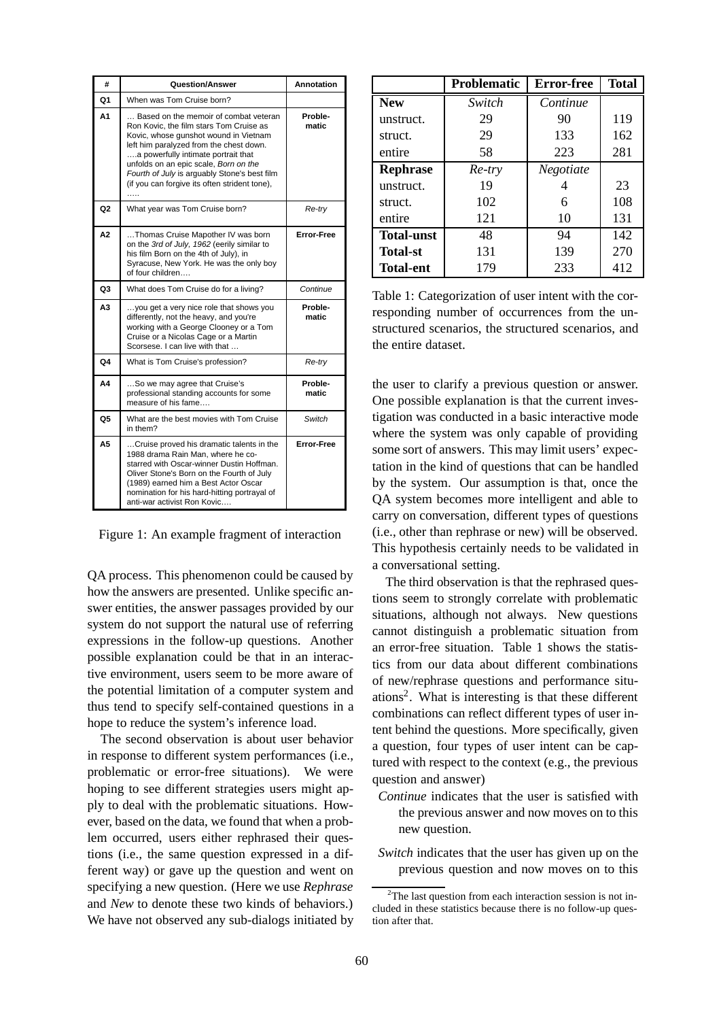| #              | Question/Answer                                                                                                                                                                                                                                                                                                                                            | Annotation        |  |  |
|----------------|------------------------------------------------------------------------------------------------------------------------------------------------------------------------------------------------------------------------------------------------------------------------------------------------------------------------------------------------------------|-------------------|--|--|
| Q1             | When was Tom Cruise born?                                                                                                                                                                                                                                                                                                                                  |                   |  |  |
| А1             | Based on the memoir of combat veteran<br>Ron Kovic, the film stars Tom Cruise as<br>Kovic, whose gunshot wound in Vietnam<br>left him paralyzed from the chest down.<br>a powerfully intimate portrait that<br>unfolds on an epic scale, Born on the<br>Fourth of July is arguably Stone's best film<br>(if you can forgive its often strident tone),<br>. | Proble-<br>matic  |  |  |
| Q <sub>2</sub> | What year was Tom Cruise born?                                                                                                                                                                                                                                                                                                                             | Re-try            |  |  |
| A2             | Thomas Cruise Mapother IV was born<br>on the 3rd of July, 1962 (eerily similar to<br>his film Born on the 4th of July), in<br>Syracuse, New York. He was the only boy<br>of four children                                                                                                                                                                  | <b>Error-Free</b> |  |  |
| Q <sub>3</sub> | What does Tom Cruise do for a living?                                                                                                                                                                                                                                                                                                                      | Continue          |  |  |
| A <sub>3</sub> | you get a very nice role that shows you<br>differently, not the heavy, and you're<br>working with a George Clooney or a Tom<br>Cruise or a Nicolas Cage or a Martin<br>Scorsese. I can live with that                                                                                                                                                      | Proble-<br>matic  |  |  |
| Q4             | What is Tom Cruise's profession?                                                                                                                                                                                                                                                                                                                           | Re-try            |  |  |
| Α4             | So we may agree that Cruise's<br>professional standing accounts for some<br>measure of his fame                                                                                                                                                                                                                                                            | Proble-<br>matic  |  |  |
| Q5             | What are the best movies with Tom Cruise<br>in them?                                                                                                                                                                                                                                                                                                       | Switch            |  |  |
| A5             | Cruise proved his dramatic talents in the<br>1988 drama Rain Man, where he co-<br>starred with Oscar-winner Dustin Hoffman.<br>Oliver Stone's Born on the Fourth of July<br>(1989) earned him a Best Actor Oscar<br>nomination for his hard-hitting portrayal of<br>anti-war activist Ron Kovic                                                            | <b>Error-Free</b> |  |  |

Figure 1: An example fragment of interaction

QA process. This phenomenon could be caused by how the answers are presented. Unlike specific answer entities, the answer passages provided by our system do not support the natural use of referring expressions in the follow-up questions. Another possible explanation could be that in an interactive environment, users seem to be more aware of the potential limitation of a computer system and thus tend to specify self-contained questions in a hope to reduce the system's inference load.

The second observation is about user behavior in response to different system performances (i.e., problematic or error-free situations). We were hoping to see different strategies users might apply to deal with the problematic situations. However, based on the data, we found that when a problem occurred, users either rephrased their questions (i.e., the same question expressed in a different way) or gave up the question and went on specifying a new question. (Here we use *Rephrase* and *New* to denote these two kinds of behaviors.) We have not observed any sub-dialogs initiated by

|                   | <b>Problematic</b> | <b>Error-free</b> | <b>Total</b> |
|-------------------|--------------------|-------------------|--------------|
| <b>New</b>        | Switch             | Continue          |              |
| unstruct.         | 29                 | 90                | 119          |
| struct.           | 29                 | 133               | 162          |
| entire            | 58                 | 223               | 281          |
| <b>Rephrase</b>   | Re-try             | Negotiate         |              |
| unstruct.         | 19                 |                   | 23           |
| struct.           | 102                | 6                 | 108          |
| entire            | 121                | 10                | 131          |
| <b>Total-unst</b> | 48                 | 94                | 142          |
| <b>Total-st</b>   | 131                | 139               | 270          |
| <b>Total-ent</b>  | 179                | 233               | 412          |

Table 1: Categorization of user intent with the corresponding number of occurrences from the unstructured scenarios, the structured scenarios, and the entire dataset.

the user to clarify a previous question or answer. One possible explanation is that the current investigation was conducted in a basic interactive mode where the system was only capable of providing some sort of answers. This may limit users' expectation in the kind of questions that can be handled by the system. Our assumption is that, once the QA system becomes more intelligent and able to carry on conversation, different types of questions (i.e., other than rephrase or new) will be observed. This hypothesis certainly needs to be validated in a conversational setting.

The third observation is that the rephrased questions seem to strongly correlate with problematic situations, although not always. New questions cannot distinguish a problematic situation from an error-free situation. Table 1 shows the statistics from our data about different combinations of new/rephrase questions and performance situations2. What is interesting is that these different combinations can reflect different types of user intent behind the questions. More specifically, given a question, four types of user intent can be captured with respect to the context (e.g., the previous question and answer)

- *Continue* indicates that the user is satisfied with the previous answer and now moves on to this new question.
- *Switch* indicates that the user has given up on the previous question and now moves on to this

<sup>&</sup>lt;sup>2</sup>The last question from each interaction session is not included in these statistics because there is no follow-up question after that.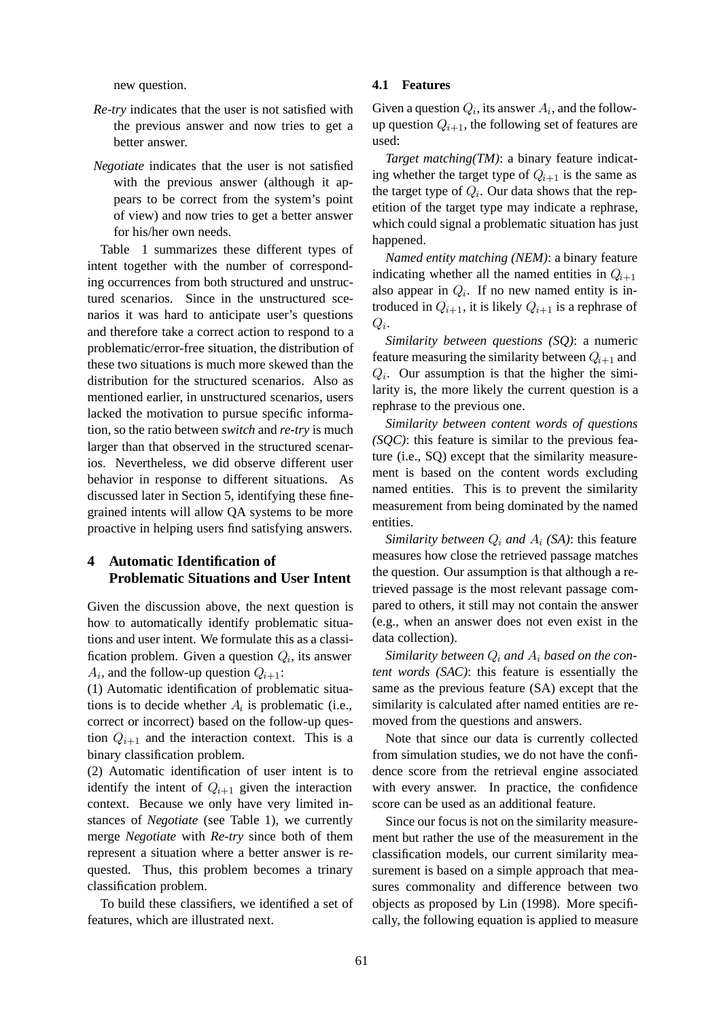new question.

- *Re-try* indicates that the user is not satisfied with the previous answer and now tries to get a better answer.
- *Negotiate* indicates that the user is not satisfied with the previous answer (although it appears to be correct from the system's point of view) and now tries to get a better answer for his/her own needs.

Table 1 summarizes these different types of intent together with the number of corresponding occurrences from both structured and unstructured scenarios. Since in the unstructured scenarios it was hard to anticipate user's questions and therefore take a correct action to respond to a problematic/error-free situation, the distribution of these two situations is much more skewed than the distribution for the structured scenarios. Also as mentioned earlier, in unstructured scenarios, users lacked the motivation to pursue specific information, so the ratio between *switch* and *re-try* is much larger than that observed in the structured scenarios. Nevertheless, we did observe different user behavior in response to different situations. As discussed later in Section 5, identifying these finegrained intents will allow QA systems to be more proactive in helping users find satisfying answers.

### **4 Automatic Identification of Problematic Situations and User Intent**

Given the discussion above, the next question is how to automatically identify problematic situations and user intent. We formulate this as a classification problem. Given a question Q*i*, its answer  $A_i$ , and the follow-up question  $Q_{i+1}$ :

(1) Automatic identification of problematic situations is to decide whether  $A_i$  is problematic (i.e., correct or incorrect) based on the follow-up question  $Q_{i+1}$  and the interaction context. This is a binary classification problem.

(2) Automatic identification of user intent is to identify the intent of  $Q_{i+1}$  given the interaction context. Because we only have very limited instances of *Negotiate* (see Table 1), we currently merge *Negotiate* with *Re-try* since both of them represent a situation where a better answer is requested. Thus, this problem becomes a trinary classification problem.

To build these classifiers, we identified a set of features, which are illustrated next.

### **4.1 Features**

Given a question  $Q_i$ , its answer  $A_i$ , and the followup question  $Q_{i+1}$ , the following set of features are used:

*Target matching(TM)*: a binary feature indicating whether the target type of  $Q_{i+1}$  is the same as the target type of Q*i*. Our data shows that the repetition of the target type may indicate a rephrase, which could signal a problematic situation has just happened.

*Named entity matching (NEM)*: a binary feature indicating whether all the named entities in  $Q_{i+1}$ also appear in  $Q_i$ . If no new named entity is introduced in  $Q_{i+1}$ , it is likely  $Q_{i+1}$  is a rephrase of Q*i*.

*Similarity between questions (SQ)*: a numeric feature measuring the similarity between  $Q_{i+1}$  and Q*i*. Our assumption is that the higher the similarity is, the more likely the current question is a rephrase to the previous one.

*Similarity between content words of questions (SQC)*: this feature is similar to the previous feature (i.e., SQ) except that the similarity measurement is based on the content words excluding named entities. This is to prevent the similarity measurement from being dominated by the named entities.

*Similarity between*  $Q_i$  *and*  $A_i$  *(SA)*: this feature measures how close the retrieved passage matches the question. Our assumption is that although a retrieved passage is the most relevant passage compared to others, it still may not contain the answer (e.g., when an answer does not even exist in the data collection).

*Similarity between* Q*<sup>i</sup> and* A*<sup>i</sup> based on the content words (SAC)*: this feature is essentially the same as the previous feature (SA) except that the similarity is calculated after named entities are removed from the questions and answers.

Note that since our data is currently collected from simulation studies, we do not have the confidence score from the retrieval engine associated with every answer. In practice, the confidence score can be used as an additional feature.

Since our focus is not on the similarity measurement but rather the use of the measurement in the classification models, our current similarity measurement is based on a simple approach that measures commonality and difference between two objects as proposed by Lin (1998). More specifically, the following equation is applied to measure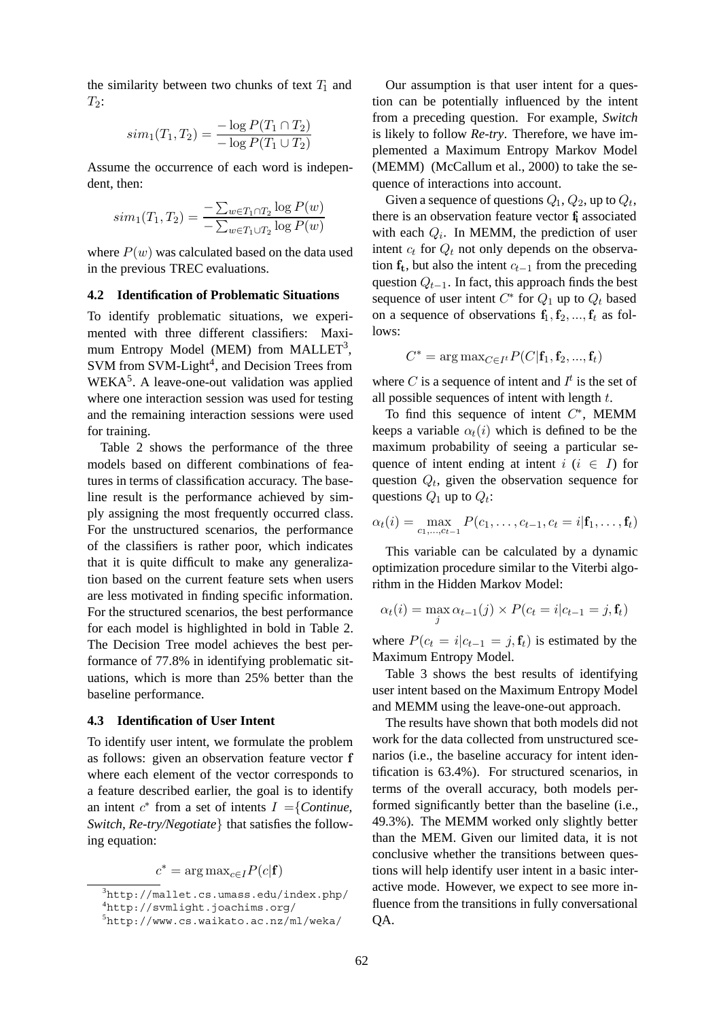the similarity between two chunks of text  $T_1$  and  $T_2$ :

$$
sim_1(T_1, T_2) = \frac{-\log P(T_1 \cap T_2)}{-\log P(T_1 \cup T_2)}
$$

Assume the occurrence of each word is independent, then:

$$
sim_1(T_1, T_2) = \frac{-\sum_{w \in T_1 \cap T_2} \log P(w)}{-\sum_{w \in T_1 \cup T_2} \log P(w)}
$$

where  $P(w)$  was calculated based on the data used in the previous TREC evaluations.

#### **4.2 Identification of Problematic Situations**

To identify problematic situations, we experimented with three different classifiers: Maximum Entropy Model (MEM) from MALLET<sup>3</sup>, SVM from SVM-Light<sup>4</sup>, and Decision Trees from  $WEXA<sup>5</sup>$ . A leave-one-out validation was applied where one interaction session was used for testing and the remaining interaction sessions were used for training.

Table 2 shows the performance of the three models based on different combinations of features in terms of classification accuracy. The baseline result is the performance achieved by simply assigning the most frequently occurred class. For the unstructured scenarios, the performance of the classifiers is rather poor, which indicates that it is quite difficult to make any generalization based on the current feature sets when users are less motivated in finding specific information. For the structured scenarios, the best performance for each model is highlighted in bold in Table 2. The Decision Tree model achieves the best performance of 77.8% in identifying problematic situations, which is more than 25% better than the baseline performance.

#### **4.3 Identification of User Intent**

To identify user intent, we formulate the problem as follows: given an observation feature vector **f** where each element of the vector corresponds to a feature described earlier, the goal is to identify an intent  $c^*$  from a set of intents  $I = \{Continue,$ *Switch, Re-try/Negotiate*} that satisfies the following equation:

 $c^* = \arg \max_{c \in I} P(c|\mathbf{f})$ 

Our assumption is that user intent for a question can be potentially influenced by the intent from a preceding question. For example, *Switch* is likely to follow *Re-try*. Therefore, we have implemented a Maximum Entropy Markov Model (MEMM) (McCallum et al., 2000) to take the sequence of interactions into account.

Given a sequence of questions  $Q_1$ ,  $Q_2$ , up to  $Q_t$ , there is an observation feature vector **f<sup>i</sup>** associated with each Q*i*. In MEMM, the prediction of user intent  $c_t$  for  $Q_t$  not only depends on the observation  $f_t$ , but also the intent  $c_{t-1}$  from the preceding question  $Q_{t-1}$ . In fact, this approach finds the best sequence of user intent  $C^*$  for  $Q_1$  up to  $Q_t$  based on a sequence of observations  $f_1, f_2, ..., f_t$  as follows:

$$
C^* = \arg \max_{C \in I^t} P(C|\mathbf{f}_1, \mathbf{f}_2, ..., \mathbf{f}_t)
$$

where C is a sequence of intent and  $I^t$  is the set of all possible sequences of intent with length  $t$ .

To find this sequence of intent  $C^*$ , MEMM keeps a variable  $\alpha_t(i)$  which is defined to be the maximum probability of seeing a particular sequence of intent ending at intent  $i$  ( $i \in I$ ) for question Q*t*, given the observation sequence for questions  $Q_1$  up to  $Q_t$ :

$$
\alpha_t(i) = \max_{c_1, ..., c_{t-1}} P(c_1, ..., c_{t-1}, c_t = i | \mathbf{f}_1, ..., \mathbf{f}_t)
$$

This variable can be calculated by a dynamic optimization procedure similar to the Viterbi algorithm in the Hidden Markov Model:

$$
\alpha_t(i) = \max_j \alpha_{t-1}(j) \times P(c_t = i | c_{t-1} = j, \mathbf{f}_t)
$$

where  $P(c_t = i|c_{t-1} = j, \mathbf{f}_t)$  is estimated by the Maximum Entropy Model.

Table 3 shows the best results of identifying user intent based on the Maximum Entropy Model and MEMM using the leave-one-out approach.

The results have shown that both models did not work for the data collected from unstructured scenarios (i.e., the baseline accuracy for intent identification is 63.4%). For structured scenarios, in terms of the overall accuracy, both models performed significantly better than the baseline (i.e., 49.3%). The MEMM worked only slightly better than the MEM. Given our limited data, it is not conclusive whether the transitions between questions will help identify user intent in a basic interactive mode. However, we expect to see more influence from the transitions in fully conversational QA.

<sup>3</sup> http://mallet.cs.umass.edu/index.php/

<sup>4</sup> http://svmlight.joachims.org/

<sup>5</sup> http://www.cs.waikato.ac.nz/ml/weka/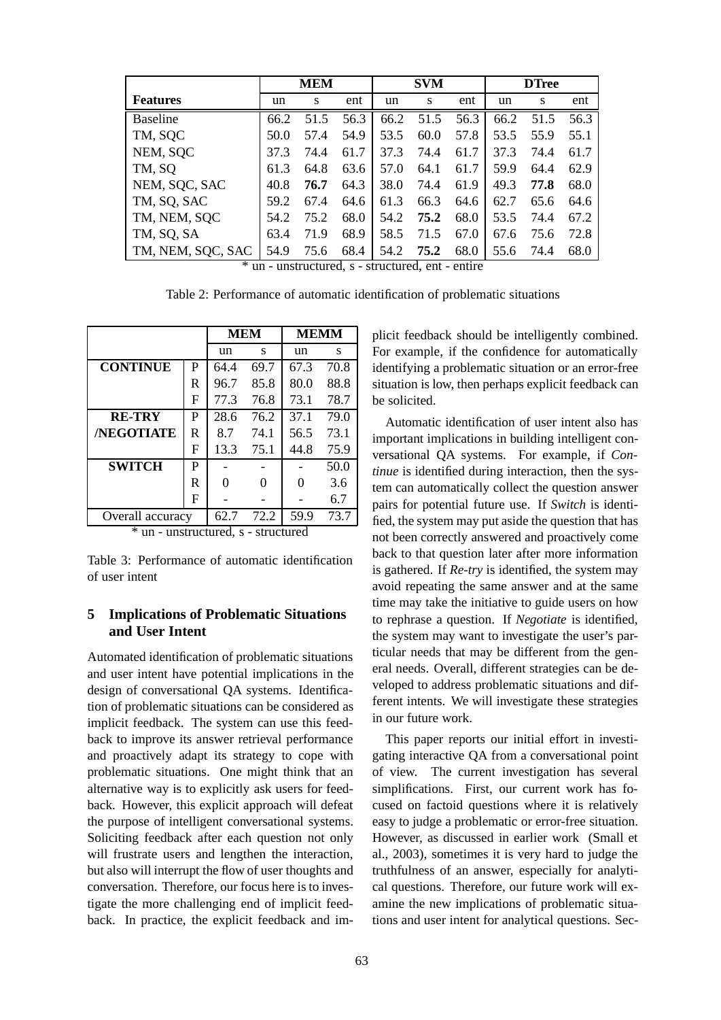|                   | MEM  |      | <b>SVM</b> |      |      | <b>DTree</b> |      |      |      |
|-------------------|------|------|------------|------|------|--------------|------|------|------|
| <b>Features</b>   | un   | S    | ent        | un   | S    | ent          | un   | S    | ent  |
| <b>Baseline</b>   | 66.2 | 51.5 | 56.3       | 66.2 | 51.5 | 56.3         | 66.2 | 51.5 | 56.3 |
| TM, SQC           | 50.0 | 57.4 | 54.9       | 53.5 | 60.0 | 57.8         | 53.5 | 55.9 | 55.1 |
| NEM, SQC          | 37.3 | 74.4 | 61.7       | 37.3 | 74.4 | 61.7         | 37.3 | 74.4 | 61.7 |
| TM, SQ            | 61.3 | 64.8 | 63.6       | 57.0 | 64.1 | 61.7         | 59.9 | 64.4 | 62.9 |
| NEM, SQC, SAC     | 40.8 | 76.7 | 64.3       | 38.0 | 74.4 | 61.9         | 49.3 | 77.8 | 68.0 |
| TM, SQ, SAC       | 59.2 | 67.4 | 64.6       | 61.3 | 66.3 | 64.6         | 62.7 | 65.6 | 64.6 |
| TM, NEM, SQC      | 54.2 | 75.2 | 68.0       | 54.2 | 75.2 | 68.0         | 53.5 | 74.4 | 67.2 |
| TM, SQ, SA        | 63.4 | 71.9 | 68.9       | 58.5 | 71.5 | 67.0         | 67.6 | 75.6 | 72.8 |
| TM, NEM, SQC, SAC | 54.9 | 75.6 | 68.4       | 54.2 | 75.2 | 68.0         | 55.6 | 74.4 | 68.0 |

\* un - unstructured, s - structured, ent - entire

Table 2: Performance of automatic identification of problematic situations

|                   |   | <b>MEM</b> |      | <b>MEMM</b> |      |  |
|-------------------|---|------------|------|-------------|------|--|
|                   |   | un         | S    | un          | S    |  |
| <b>CONTINUE</b>   | P | 64.4       | 69.7 | 67.3        | 70.8 |  |
|                   | R | 96.7       | 85.8 | 80.0        | 88.8 |  |
|                   | F | 77.3       | 76.8 | 73.1        | 78.7 |  |
| <b>RE-TRY</b>     | P | 28.6       | 76.2 | 37.1        | 79.0 |  |
| <b>/NEGOTIATE</b> | R | 8.7        | 74.1 | 56.5        | 73.1 |  |
|                   | F | 13.3       | 75.1 | 44.8        | 75.9 |  |
| <b>SWITCH</b>     | P |            |      |             | 50.0 |  |
|                   | R | 0          | 0    | Ω           | 3.6  |  |
|                   | F |            |      |             | 6.7  |  |
| Overall accuracy  |   | 62.7       | 72.2 | 59.9        | 73.7 |  |

<sup>\*</sup> un - unstructured, s - structured

Table 3: Performance of automatic identification of user intent

## **5 Implications of Problematic Situations and User Intent**

Automated identification of problematic situations and user intent have potential implications in the design of conversational QA systems. Identification of problematic situations can be considered as implicit feedback. The system can use this feedback to improve its answer retrieval performance and proactively adapt its strategy to cope with problematic situations. One might think that an alternative way is to explicitly ask users for feedback. However, this explicit approach will defeat the purpose of intelligent conversational systems. Soliciting feedback after each question not only will frustrate users and lengthen the interaction, but also will interrupt the flow of user thoughts and conversation. Therefore, our focus here is to investigate the more challenging end of implicit feedback. In practice, the explicit feedback and im-

plicit feedback should be intelligently combined. For example, if the confidence for automatically identifying a problematic situation or an error-free situation is low, then perhaps explicit feedback can be solicited.

Automatic identification of user intent also has important implications in building intelligent conversational QA systems. For example, if *Continue* is identified during interaction, then the system can automatically collect the question answer pairs for potential future use. If *Switch* is identified, the system may put aside the question that has not been correctly answered and proactively come back to that question later after more information is gathered. If *Re-try* is identified, the system may avoid repeating the same answer and at the same time may take the initiative to guide users on how to rephrase a question. If *Negotiate* is identified, the system may want to investigate the user's particular needs that may be different from the general needs. Overall, different strategies can be developed to address problematic situations and different intents. We will investigate these strategies in our future work.

This paper reports our initial effort in investigating interactive QA from a conversational point of view. The current investigation has several simplifications. First, our current work has focused on factoid questions where it is relatively easy to judge a problematic or error-free situation. However, as discussed in earlier work (Small et al., 2003), sometimes it is very hard to judge the truthfulness of an answer, especially for analytical questions. Therefore, our future work will examine the new implications of problematic situations and user intent for analytical questions. Sec